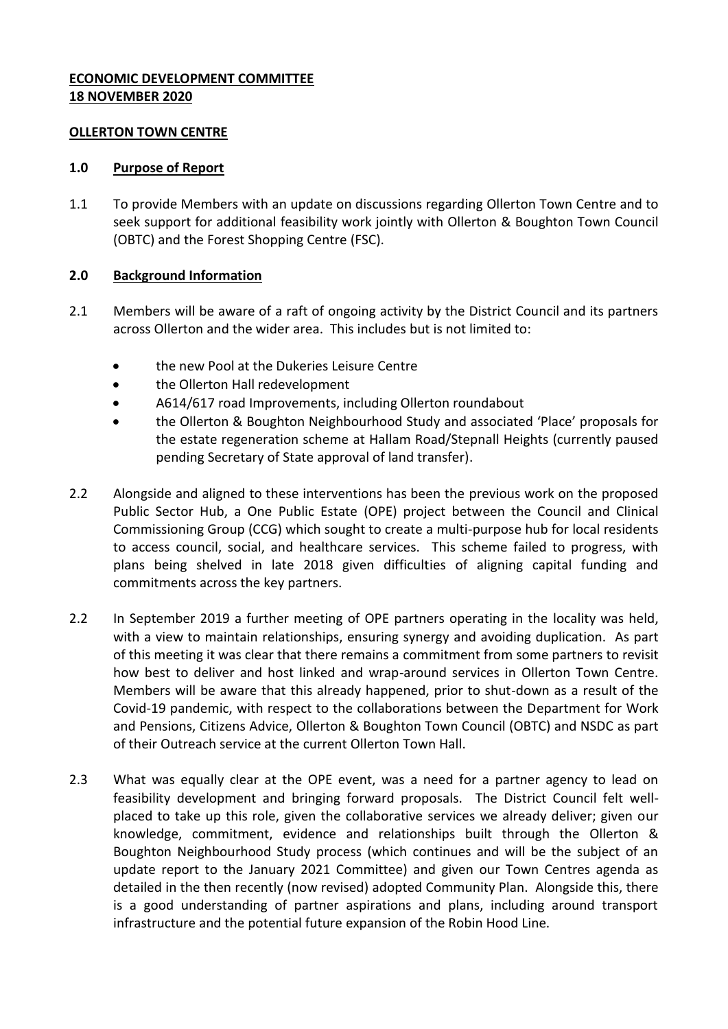### **ECONOMIC DEVELOPMENT COMMITTEE 18 NOVEMBER 2020**

#### **OLLERTON TOWN CENTRE**

#### **1.0 Purpose of Report**

1.1 To provide Members with an update on discussions regarding Ollerton Town Centre and to seek support for additional feasibility work jointly with Ollerton & Boughton Town Council (OBTC) and the Forest Shopping Centre (FSC).

### **2.0 Background Information**

- 2.1 Members will be aware of a raft of ongoing activity by the District Council and its partners across Ollerton and the wider area. This includes but is not limited to:
	- the new Pool at the Dukeries Leisure Centre
	- the Ollerton Hall redevelopment
	- A614/617 road Improvements, including Ollerton roundabout
	- the Ollerton & Boughton Neighbourhood Study and associated 'Place' proposals for the estate regeneration scheme at Hallam Road/Stepnall Heights (currently paused pending Secretary of State approval of land transfer).
- 2.2 Alongside and aligned to these interventions has been the previous work on the proposed Public Sector Hub, a One Public Estate (OPE) project between the Council and Clinical Commissioning Group (CCG) which sought to create a multi-purpose hub for local residents to access council, social, and healthcare services. This scheme failed to progress, with plans being shelved in late 2018 given difficulties of aligning capital funding and commitments across the key partners.
- 2.2 In September 2019 a further meeting of OPE partners operating in the locality was held, with a view to maintain relationships, ensuring synergy and avoiding duplication. As part of this meeting it was clear that there remains a commitment from some partners to revisit how best to deliver and host linked and wrap-around services in Ollerton Town Centre. Members will be aware that this already happened, prior to shut-down as a result of the Covid-19 pandemic, with respect to the collaborations between the Department for Work and Pensions, Citizens Advice, Ollerton & Boughton Town Council (OBTC) and NSDC as part of their Outreach service at the current Ollerton Town Hall.
- 2.3 What was equally clear at the OPE event, was a need for a partner agency to lead on feasibility development and bringing forward proposals. The District Council felt wellplaced to take up this role, given the collaborative services we already deliver; given our knowledge, commitment, evidence and relationships built through the Ollerton & Boughton Neighbourhood Study process (which continues and will be the subject of an update report to the January 2021 Committee) and given our Town Centres agenda as detailed in the then recently (now revised) adopted Community Plan. Alongside this, there is a good understanding of partner aspirations and plans, including around transport infrastructure and the potential future expansion of the Robin Hood Line.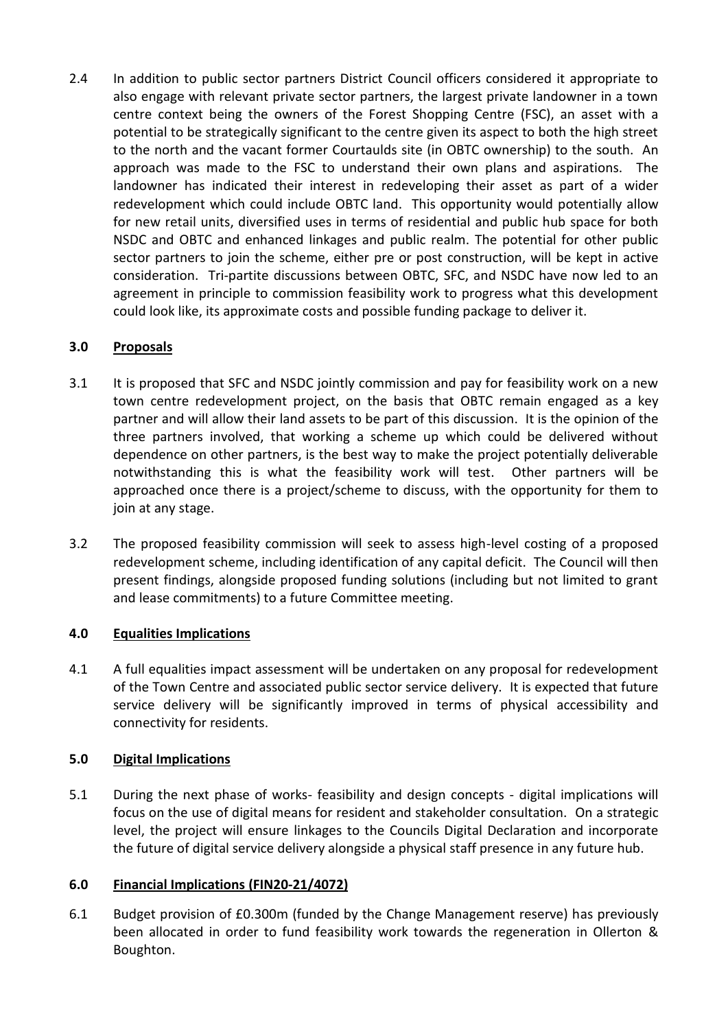2.4 In addition to public sector partners District Council officers considered it appropriate to also engage with relevant private sector partners, the largest private landowner in a town centre context being the owners of the Forest Shopping Centre (FSC), an asset with a potential to be strategically significant to the centre given its aspect to both the high street to the north and the vacant former Courtaulds site (in OBTC ownership) to the south. An approach was made to the FSC to understand their own plans and aspirations. The landowner has indicated their interest in redeveloping their asset as part of a wider redevelopment which could include OBTC land. This opportunity would potentially allow for new retail units, diversified uses in terms of residential and public hub space for both NSDC and OBTC and enhanced linkages and public realm. The potential for other public sector partners to join the scheme, either pre or post construction, will be kept in active consideration. Tri-partite discussions between OBTC, SFC, and NSDC have now led to an agreement in principle to commission feasibility work to progress what this development could look like, its approximate costs and possible funding package to deliver it.

# **3.0 Proposals**

- 3.1 It is proposed that SFC and NSDC jointly commission and pay for feasibility work on a new town centre redevelopment project, on the basis that OBTC remain engaged as a key partner and will allow their land assets to be part of this discussion. It is the opinion of the three partners involved, that working a scheme up which could be delivered without dependence on other partners, is the best way to make the project potentially deliverable notwithstanding this is what the feasibility work will test. Other partners will be approached once there is a project/scheme to discuss, with the opportunity for them to join at any stage.
- 3.2 The proposed feasibility commission will seek to assess high-level costing of a proposed redevelopment scheme, including identification of any capital deficit. The Council will then present findings, alongside proposed funding solutions (including but not limited to grant and lease commitments) to a future Committee meeting.

# **4.0 Equalities Implications**

4.1 A full equalities impact assessment will be undertaken on any proposal for redevelopment of the Town Centre and associated public sector service delivery. It is expected that future service delivery will be significantly improved in terms of physical accessibility and connectivity for residents.

# **5.0 Digital Implications**

5.1 During the next phase of works- feasibility and design concepts - digital implications will focus on the use of digital means for resident and stakeholder consultation. On a strategic level, the project will ensure linkages to the Councils Digital Declaration and incorporate the future of digital service delivery alongside a physical staff presence in any future hub.

# **6.0 Financial Implications (FIN20-21/4072)**

6.1 Budget provision of £0.300m (funded by the Change Management reserve) has previously been allocated in order to fund feasibility work towards the regeneration in Ollerton & Boughton.